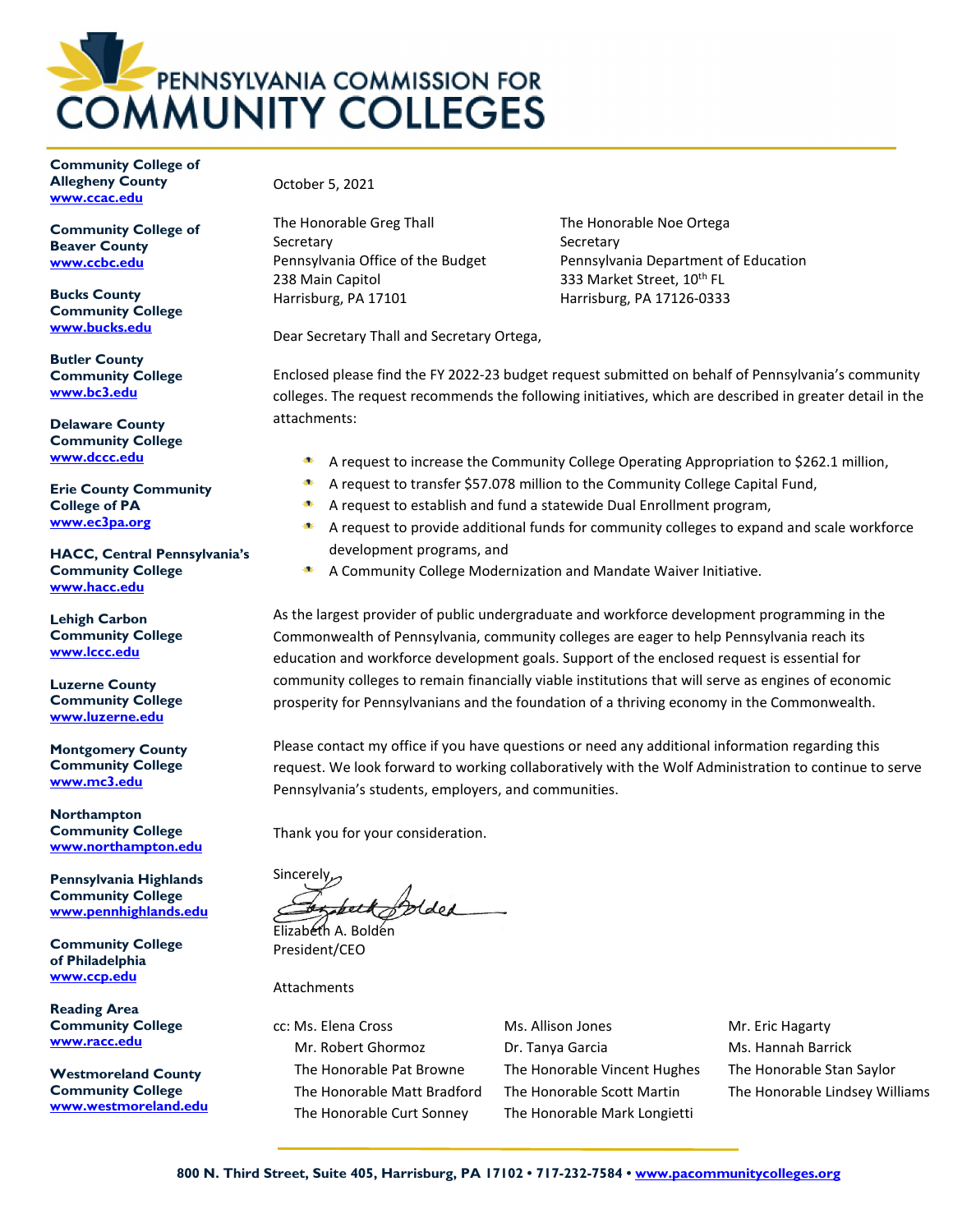

**Community College of Allegheny County [www.ccac.edu](http://www.ccac.edu/)**

**Community College of Beaver County [www.ccbc.edu](http://www.ccbc.edu/)**

**Bucks County Community College [www.bucks.edu](http://www.bucks.edu/)**

**Butler County Community College [www.bc3.edu](http://www.bc3.edu/)**

**Delaware County Community College [www.dccc.edu](http://www.dccc.edu/)**

**Erie County Community College of PA [www.ec3pa.org](http://www.ec3pa.org/)**

**HACC, Central Pennsylvania's Community College [www.hacc.edu](http://www.hacc.edu/)**

**Lehigh Carbon Community College [www.lccc.edu](http://www.lccc.edu/)**

**Luzerne County Community College [www.luzerne.edu](http://www.luzerne.edu/)**

**Montgomery County Community College [www.mc3.edu](http://www.mc3.edu/)**

**Northampton Community College [www.northampton.edu](http://www.northampton.edu/)**

**Pennsylvania Highlands Community College [www.pennhighlands.edu](http://www.pennhighlands.edu/)**

**Community College of Philadelphia [www.ccp.edu](http://www.ccp.edu/)**

**Reading Area Community College [www.racc.edu](http://www.racc.edu/)**

**Westmoreland County Community College [www.westmoreland.edu](http://www.westmoreland.edu/)** October 5, 2021

The Honorable Greg Thall Secretary Pennsylvania Office of the Budget 238 Main Capitol Harrisburg, PA 17101

The Honorable Noe Ortega **Secretary** Pennsylvania Department of Education 333 Market Street, 10<sup>th</sup> FL Harrisburg, PA 17126-0333

Dear Secretary Thall and Secretary Ortega,

Enclosed please find the FY 2022-23 budget request submitted on behalf of Pennsylvania's community colleges. The request recommends the following initiatives, which are described in greater detail in the attachments:

- $\mathbf{M}$ A request to increase the Community College Operating Appropriation to \$262.1 million,
	- A request to transfer \$57.078 million to the Community College Capital Fund,
- SE. A request to establish and fund a statewide Dual Enrollment program,
- A request to provide additional funds for community colleges to expand and scale workforce development programs, and
- A Community College Modernization and Mandate Waiver Initiative.

As the largest provider of public undergraduate and workforce development programming in the Commonwealth of Pennsylvania, community colleges are eager to help Pennsylvania reach its education and workforce development goals. Support of the enclosed request is essential for community colleges to remain financially viable institutions that will serve as engines of economic prosperity for Pennsylvanians and the foundation of a thriving economy in the Commonwealth.

Please contact my office if you have questions or need any additional information regarding this request. We look forward to working collaboratively with the Wolf Administration to continue to serve Pennsylvania's students, employers, and communities.

Thank you for your consideration.

**Sincerely** beth orded

Elizabeth A. Bolden President/CEO

**Attachments** 

cc: Ms. Elena Cross Ms. Allison Jones Mr. Eric Hagarty Mr. Robert Ghormoz **Dr. Tanya Garcia** Ms. Hannah Barrick The Honorable Pat Browne The Honorable Vincent Hughes The Honorable Stan Saylor The Honorable Curt Sonney The Honorable Mark Longietti

The Honorable Matt Bradford The Honorable Scott Martin The Honorable Lindsey Williams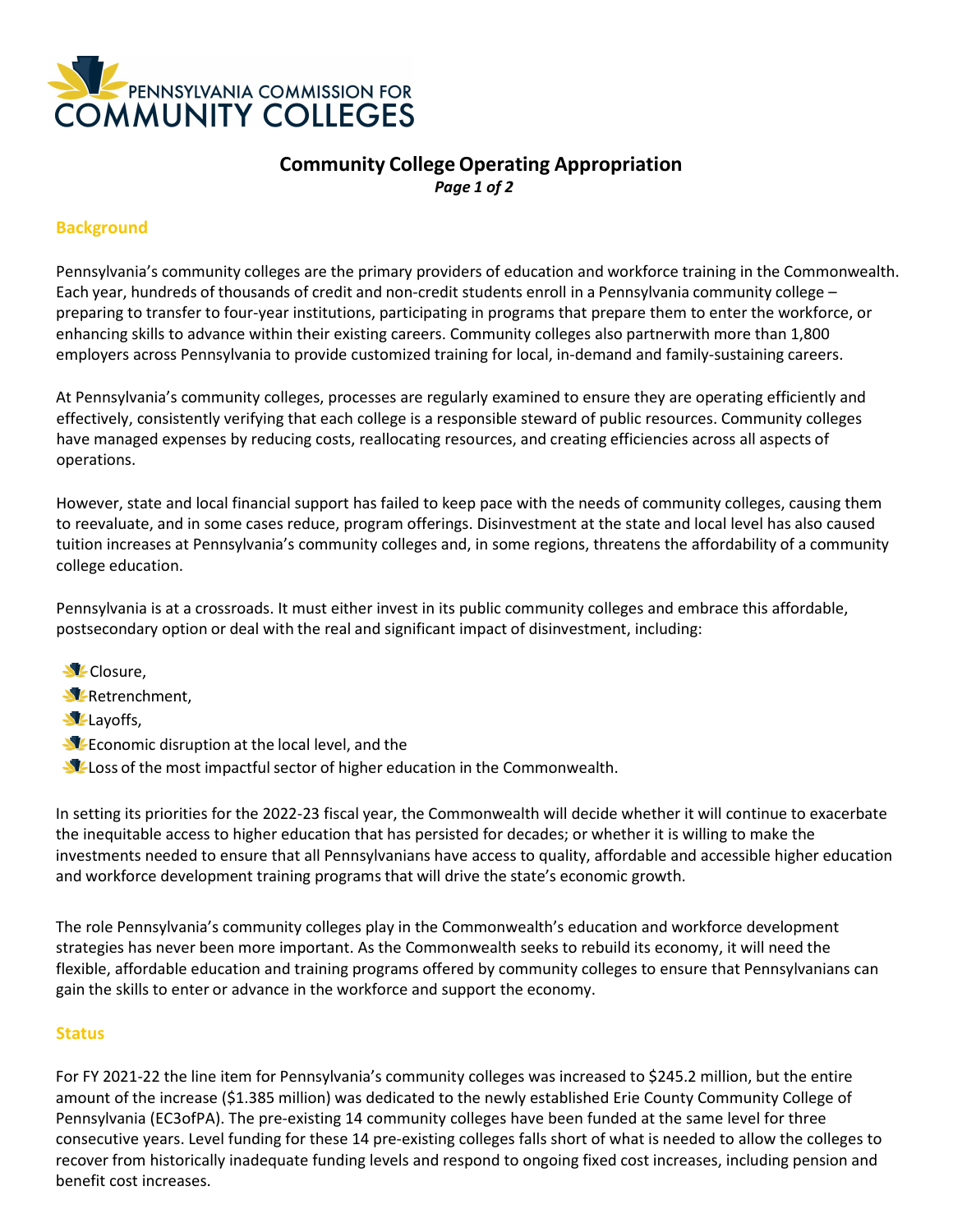

## **Community CollegeOperating Appropriation** *Page 1 of 2*

## **Background**

Pennsylvania's community colleges are the primary providers of education and workforce training in the Commonwealth. Each year, hundreds of thousands of credit and non-credit students enroll in a Pennsylvania community college – preparing to transfer to four-year institutions, participating in programs that prepare them to enter the workforce, or enhancing skills to advance within their existing careers. Community colleges also partnerwith more than 1,800 employers across Pennsylvania to provide customized training for local, in-demand and family-sustaining careers.

At Pennsylvania's community colleges, processes are regularly examined to ensure they are operating efficiently and effectively, consistently verifying that each college is a responsible steward of public resources. Community colleges have managed expenses by reducing costs, reallocating resources, and creating efficiencies across all aspects of operations.

However, state and local financial support has failed to keep pace with the needs of community colleges, causing them to reevaluate, and in some cases reduce, program offerings. Disinvestment at the state and local level has also caused tuition increases at Pennsylvania's community colleges and, in some regions, threatens the affordability of a community college education.

Pennsylvania is at a crossroads. It must either invest in its public community colleges and embrace this affordable, postsecondary option or deal with the real and significant impact of disinvestment, including:

- **N**EClosure,
- **W**-Retrenchment,
- **N**-Layoffs,
- Economic disruption at the local level, and the
- Loss of the most impactful sector of higher education in the Commonwealth.

In setting its priorities for the 2022-23 fiscal year, the Commonwealth will decide whether it will continue to exacerbate the inequitable access to higher education that has persisted for decades; or whether it is willing to make the investments needed to ensure that all Pennsylvanians have access to quality, affordable and accessible higher education and workforce development training programsthat will drive the state's economic growth.

The role Pennsylvania's community colleges play in the Commonwealth's education and workforce development strategies has never been more important. As the Commonwealth seeks to rebuild its economy, it will need the flexible, affordable education and training programs offered by community colleges to ensure that Pennsylvanians can gain the skills to enter or advance in the workforce and support the economy.

#### **Status**

For FY 2021-22 the line item for Pennsylvania's community colleges was increased to \$245.2 million, but the entire amount of the increase (\$1.385 million) was dedicated to the newly established Erie County Community College of Pennsylvania (EC3ofPA). The pre-existing 14 community colleges have been funded at the same level for three consecutive years. Level funding for these 14 pre-existing colleges falls short of what is needed to allow the colleges to recover from historically inadequate funding levels and respond to ongoing fixed cost increases, including pension and benefit cost increases.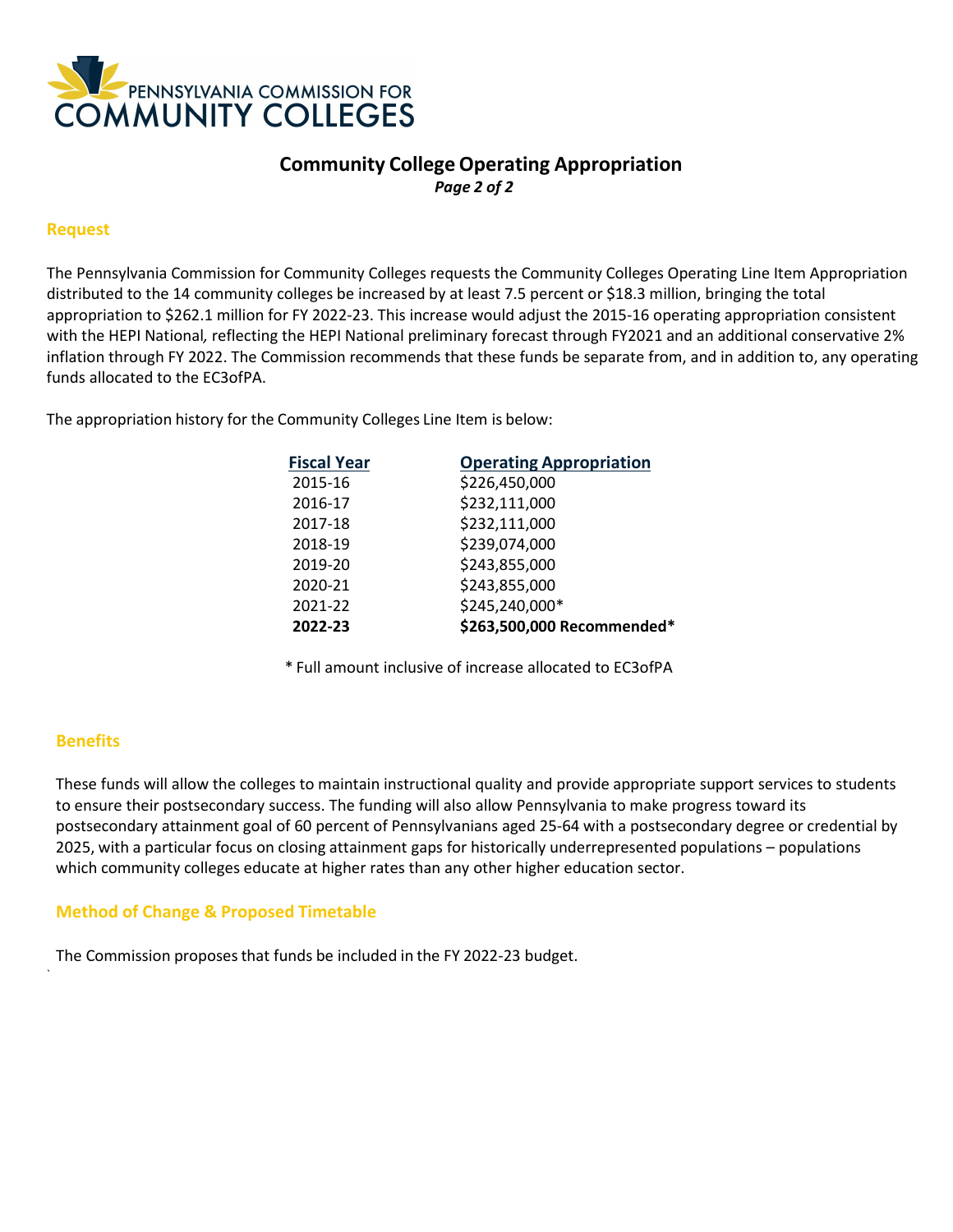

## **Community CollegeOperating Appropriation** *Page 2 of 2*

#### **Request**

The Pennsylvania Commission for Community Colleges requests the Community Colleges Operating Line Item Appropriation distributed to the 14 community colleges be increased by at least 7.5 percent or \$18.3 million, bringing the total appropriation to \$262.1 million for FY 2022-23. This increase would adjust the 2015-16 operating appropriation consistent with the HEPI National*,* reflecting the HEPI National preliminary forecast through FY2021 and an additional conservative 2% inflation through FY 2022. The Commission recommends that these funds be separate from, and in addition to, any operating funds allocated to the EC3ofPA.

The appropriation history for the Community Colleges Line Item is below:

| <b>Fiscal Year</b> | <b>Operating Appropriation</b> |
|--------------------|--------------------------------|
| 2015-16            | \$226,450,000                  |
| 2016-17            | \$232,111,000                  |
| 2017-18            | \$232,111,000                  |
| 2018-19            | \$239,074,000                  |
| 2019-20            | \$243,855,000                  |
| 2020-21            | \$243,855,000                  |
| 2021-22            | \$245,240,000*                 |
| 2022-23            | \$263,500,000 Recommended*     |

\* Full amount inclusive of increase allocated to EC3ofPA

### **Benefits**

`

These funds will allow the colleges to maintain instructional quality and provide appropriate support services to students to ensure their postsecondary success. The funding will also allow Pennsylvania to make progress toward its postsecondary attainment goal of 60 percent of Pennsylvanians aged 25-64 with a postsecondary degree or credential by 2025, with a particular focus on closing attainment gaps for historically underrepresented populations – populations which community colleges educate at higher rates than any other higher education sector.

### **Method of Change & Proposed Timetable**

The Commission proposes that funds be included in the FY 2022-23 budget.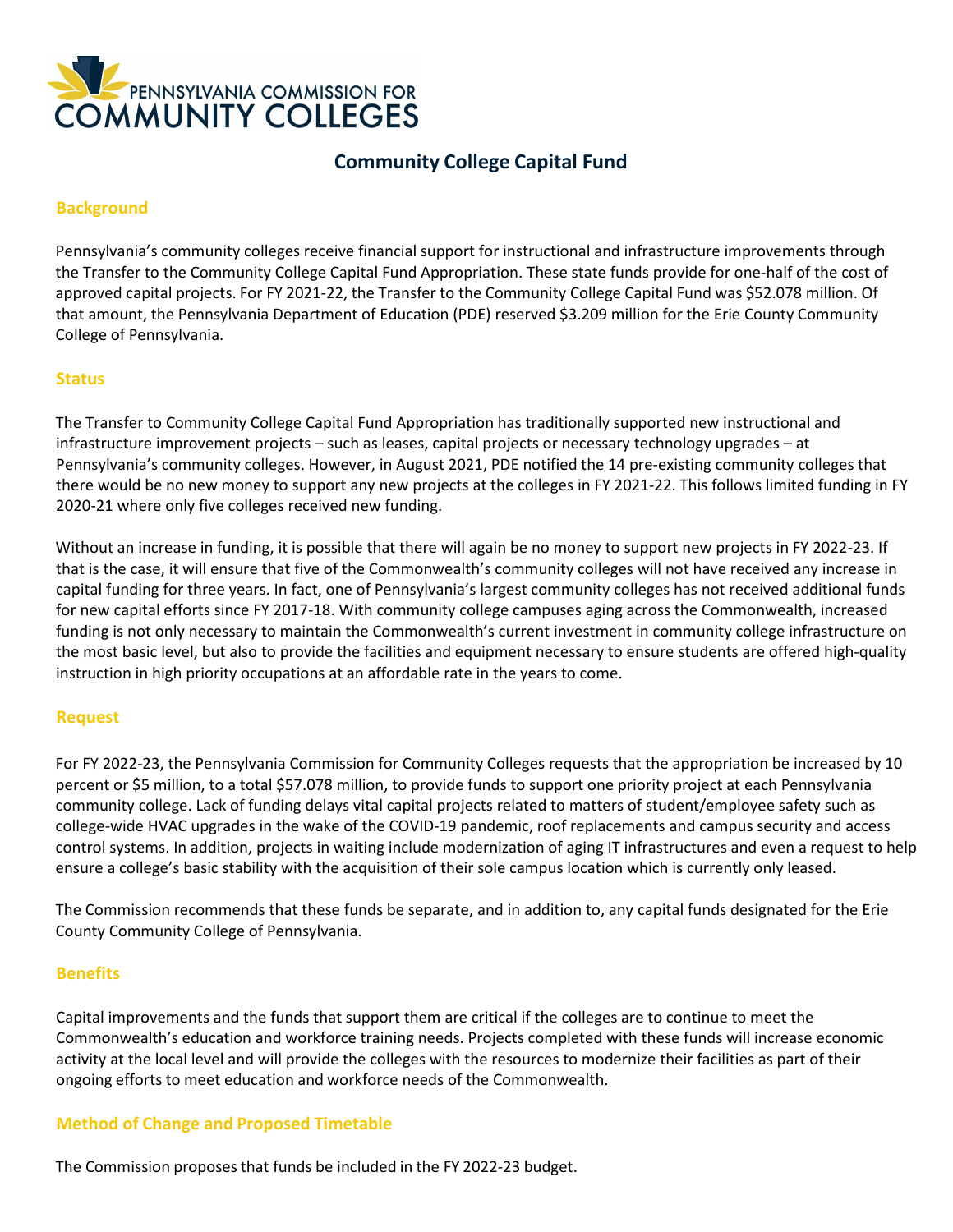

# **Community College Capital Fund**

### **Background**

Pennsylvania's community colleges receive financial support for instructional and infrastructure improvements through the Transfer to the Community College Capital Fund Appropriation. These state funds provide for one-half of the cost of approved capital projects. For FY 2021-22, the Transfer to the Community College Capital Fund was \$52.078 million. Of that amount, the Pennsylvania Department of Education (PDE) reserved \$3.209 million for the Erie County Community College of Pennsylvania.

#### **Status**

The Transfer to Community College Capital Fund Appropriation has traditionally supported new instructional and infrastructure improvement projects – such as leases, capital projects or necessary technology upgrades – at Pennsylvania's community colleges. However, in August 2021, PDE notified the 14 pre-existing community colleges that there would be no new money to support any new projects at the colleges in FY 2021-22. This follows limited funding in FY 2020-21 where only five colleges received new funding.

Without an increase in funding, it is possible that there will again be no money to support new projects in FY 2022-23. If that is the case, it will ensure that five of the Commonwealth's community colleges will not have received any increase in capital funding for three years. In fact, one of Pennsylvania's largest community colleges has not received additional funds for new capital efforts since FY 2017-18. With community college campuses aging across the Commonwealth, increased funding is not only necessary to maintain the Commonwealth's current investment in community college infrastructure on the most basic level, but also to provide the facilities and equipment necessary to ensure students are offered high-quality instruction in high priority occupations at an affordable rate in the years to come.

### **Request**

For FY 2022-23, the Pennsylvania Commission for Community Colleges requests that the appropriation be increased by 10 percent or \$5 million, to a total \$57.078 million, to provide funds to support one priority project at each Pennsylvania community college. Lack of funding delays vital capital projects related to matters of student/employee safety such as college-wide HVAC upgrades in the wake of the COVID-19 pandemic, roof replacements and campus security and access control systems. In addition, projects in waiting include modernization of aging IT infrastructures and even a request to help ensure a college's basic stability with the acquisition of their sole campus location which is currently only leased.

The Commission recommends that these funds be separate, and in addition to, any capital funds designated for the Erie County Community College of Pennsylvania.

### **Benefits**

Capital improvements and the funds that support them are critical if the colleges are to continue to meet the Commonwealth's education and workforce training needs. Projects completed with these funds will increase economic activity at the local level and will provide the colleges with the resources to modernize their facilities as part of their ongoing efforts to meet education and workforce needs of the Commonwealth.

### **Method of Change and Proposed Timetable**

The Commission proposes that funds be included in the FY 2022-23 budget.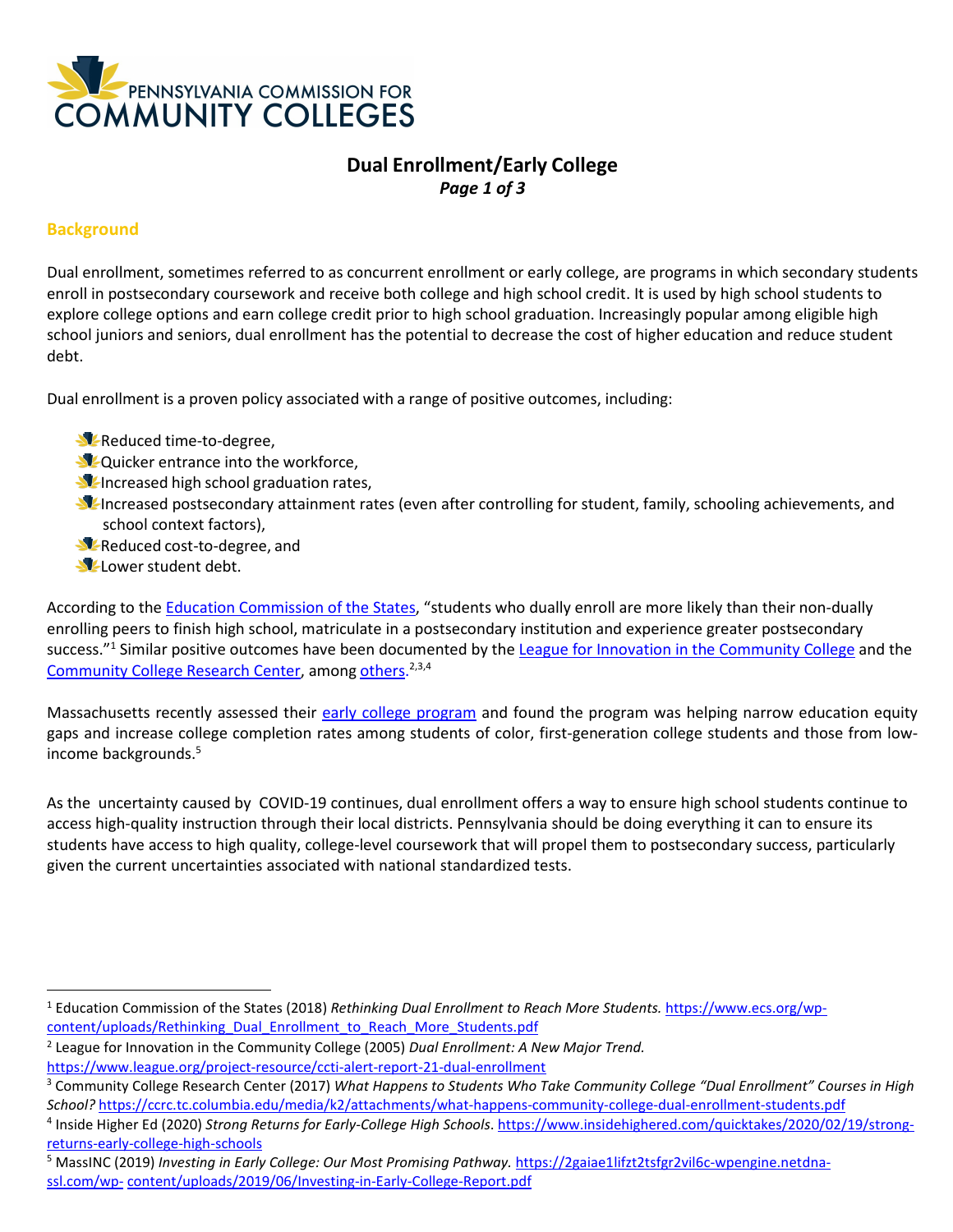

# **Dual Enrollment/Early College** *Page 1 of 3*

### **Background**

Dual enrollment, sometimes referred to as concurrent enrollment or early college, are programs in which secondary students enroll in postsecondary coursework and receive both college and high school credit. It is used by high school students to explore college options and earn college credit prior to high school graduation. Increasingly popular among eligible high school juniors and seniors, dual enrollment has the potential to decrease the cost of higher education and reduce student debt.

Dual enrollment is a proven policy associated with a range of positive outcomes, including:

- **X** Reduced time-to-degree,
- **V**-Quicker entrance into the workforce,
- **I**Increased high school graduation rates,
- **I** Increased postsecondary attainment rates (even after controlling for student, family, schooling achievements, and school context factors),
- **X** Reduced cost-to-degree, and
- Lower student debt.

According to the **Education Commission of the States**, "students who dually enroll are more likely than their non-dually enrolling peers to finish high school, matriculate in a postsecondary institution and experience greater postsecondary success."<sup>1</sup> Similar positive outcomes have been documented by th[e League for Innovation in the Community College](https://www.league.org/project-resource/ccti-alert-report-21-dual-enrollment) and the [Community College](https://ccrc.tc.columbia.edu/publications/what-happens-community-college-dual-enrollment-students.html) Research Center, among [others](https://www.insidehighered.com/quicktakes/2020/02/19/strong-returns-early-college-high-schools)[.](#page-4-1)<sup>[2,3,](#page-4-2)[4](#page-4-3)</sup>

Massachusetts recently assessed their [early college program](https://2gaiae1lifzt2tsfgr2vil6c-wpengine.netdna-ssl.com/wp-content/uploads/2019/06/Investing-in-Early-College-Report.pdf) and found the program was helping narrow education equity gaps and increase college completion rates among students of color, first-generation college students and those from lowincome background[s.](#page-4-4) 5

As the uncertainty caused by COVID-19 continues, dual enrollment offers a way to ensure high school students continue to access high-quality instruction through their local districts. Pennsylvania should be doing everything it can to ensure its students have access to high quality, college-level coursework that will propel them to postsecondary success, particularly given the current uncertainties associated with national standardized tests.

<span id="page-4-1"></span><sup>2</sup> League for Innovation in the Community College (2005) *Dual Enrollment: A New Major Trend.* <https://www.league.org/project-resource/ccti-alert-report-21-dual-enrollment>

<span id="page-4-4"></span><sup>5</sup> MassINC (2019) *Investing in Early College: Our Most Promising Pathway.* [https://2gaiae1lifzt2tsfgr2vil6c-wpengine.netdna](https://2gaiae1lifzt2tsfgr2vil6c-wpengine.netdna-ssl.com/wp-content/uploads/2019/06/Investing-in-Early-College-Report.pdf)[ssl.com/wp-](https://2gaiae1lifzt2tsfgr2vil6c-wpengine.netdna-ssl.com/wp-content/uploads/2019/06/Investing-in-Early-College-Report.pdf) [content/uploads/2019/06/Investing-in-Early-College-Report.pdf](https://2gaiae1lifzt2tsfgr2vil6c-wpengine.netdna-ssl.com/wp-content/uploads/2019/06/Investing-in-Early-College-Report.pdf)

<span id="page-4-0"></span><sup>1</sup> Education Commission of the States (2018) *Rethinking Dual Enrollment to Reach More Students.* [https://www.ecs.org/wp](https://www.ecs.org/wp-content/uploads/Rethinking_Dual_Enrollment_to_Reach_More_Students.pdf)[content/uploads/Rethinking\\_Dual\\_Enrollment\\_to\\_Reach\\_More\\_Students.pdf](https://www.ecs.org/wp-content/uploads/Rethinking_Dual_Enrollment_to_Reach_More_Students.pdf)

<span id="page-4-2"></span><sup>3</sup> Community College Research Center (2017) *What Happens to Students Who Take Community College "Dual Enrollment" Courses in High School?* <https://ccrc.tc.columbia.edu/media/k2/attachments/what-happens-community-college-dual-enrollment-students.pdf>

<span id="page-4-3"></span><sup>4</sup> Inside Higher Ed (2020) *Strong Returns for Early-College High Schools*. [https://www.insidehighered.com/quicktakes/2020/02/19/strong](https://www.insidehighered.com/quicktakes/2020/02/19/strong-returns-early-college-high-schools)[returns-early-college-high-schools](https://www.insidehighered.com/quicktakes/2020/02/19/strong-returns-early-college-high-schools)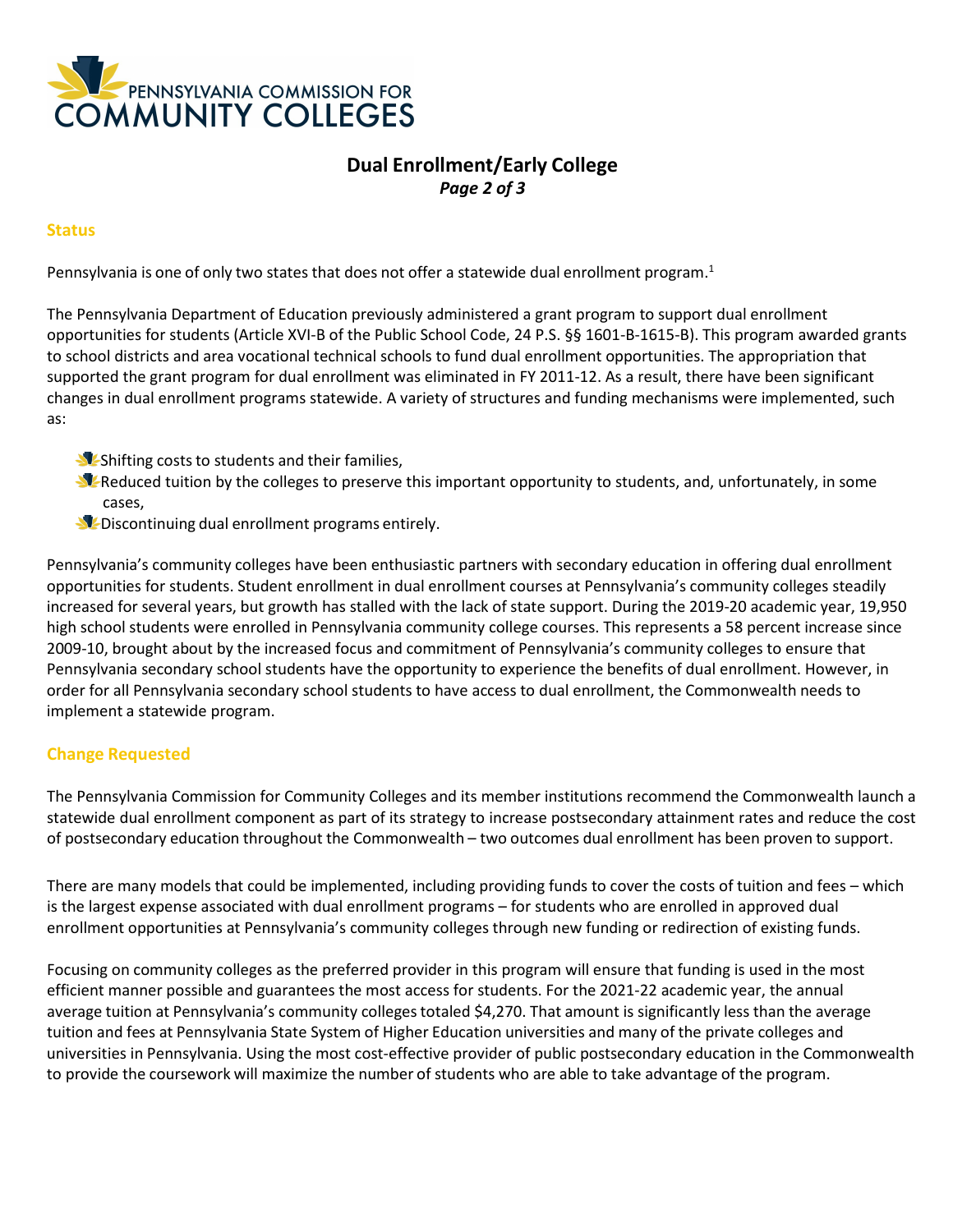

## **Dual Enrollment/Early College** *Page 2 of 3*

#### **Status**

Pennsylvania is one of only two states that does not offer a statewide dual enrollment program.<sup>1</sup>

The Pennsylvania Department of Education previously administered a grant program to support dual enrollment opportunities for students (Article XVI-B of the Public School Code, 24 P.S. §§ 1601-B-1615-B). This program awarded grants to school districts and area vocational technical schools to fund dual enrollment opportunities. The appropriation that supported the grant program for dual enrollment was eliminated in FY 2011-12. As a result, there have been significant changes in dual enrollment programs statewide. A variety of structures and funding mechanisms were implemented, such as:

- Shifting costs to students and their families,
- **A** Reduced tuition by the colleges to preserve this important opportunity to students, and, unfortunately, in some cases,
- Discontinuing dual enrollment programs entirely.

Pennsylvania's community colleges have been enthusiastic partners with secondary education in offering dual enrollment opportunities for students. Student enrollment in dual enrollment courses at Pennsylvania's community colleges steadily increased for several years, but growth has stalled with the lack of state support. During the 2019-20 academic year, 19,950 high school students were enrolled in Pennsylvania community college courses. This represents a 58 percent increase since 2009-10, brought about by the increased focus and commitment of Pennsylvania's community colleges to ensure that Pennsylvania secondary school students have the opportunity to experience the benefits of dual enrollment. However, in order for all Pennsylvania secondary school students to have access to dual enrollment, the Commonwealth needs to implement a statewide program.

### **Change Requested**

The Pennsylvania Commission for Community Colleges and its member institutions recommend the Commonwealth launch a statewide dual enrollment component as part of its strategy to increase postsecondary attainment rates and reduce the cost of postsecondary education throughout the Commonwealth – two outcomes dual enrollment has been proven to support.

There are many models that could be implemented, including providing funds to cover the costs of tuition and fees – which is the largest expense associated with dual enrollment programs – for students who are enrolled in approved dual enrollment opportunities at Pennsylvania's community colleges through new funding or redirection of existing funds.

Focusing on community colleges as the preferred provider in this program will ensure that funding is used in the most efficient manner possible and guarantees the most access for students. For the 2021-22 academic year, the annual average tuition at Pennsylvania's community collegestotaled \$4,270. That amount is significantly less than the average tuition and fees at Pennsylvania State System of Higher Education universities and many of the private colleges and universities in Pennsylvania. Using the most cost-effective provider of public postsecondary education in the Commonwealth to provide the coursework will maximize the number of students who are able to take advantage of the program.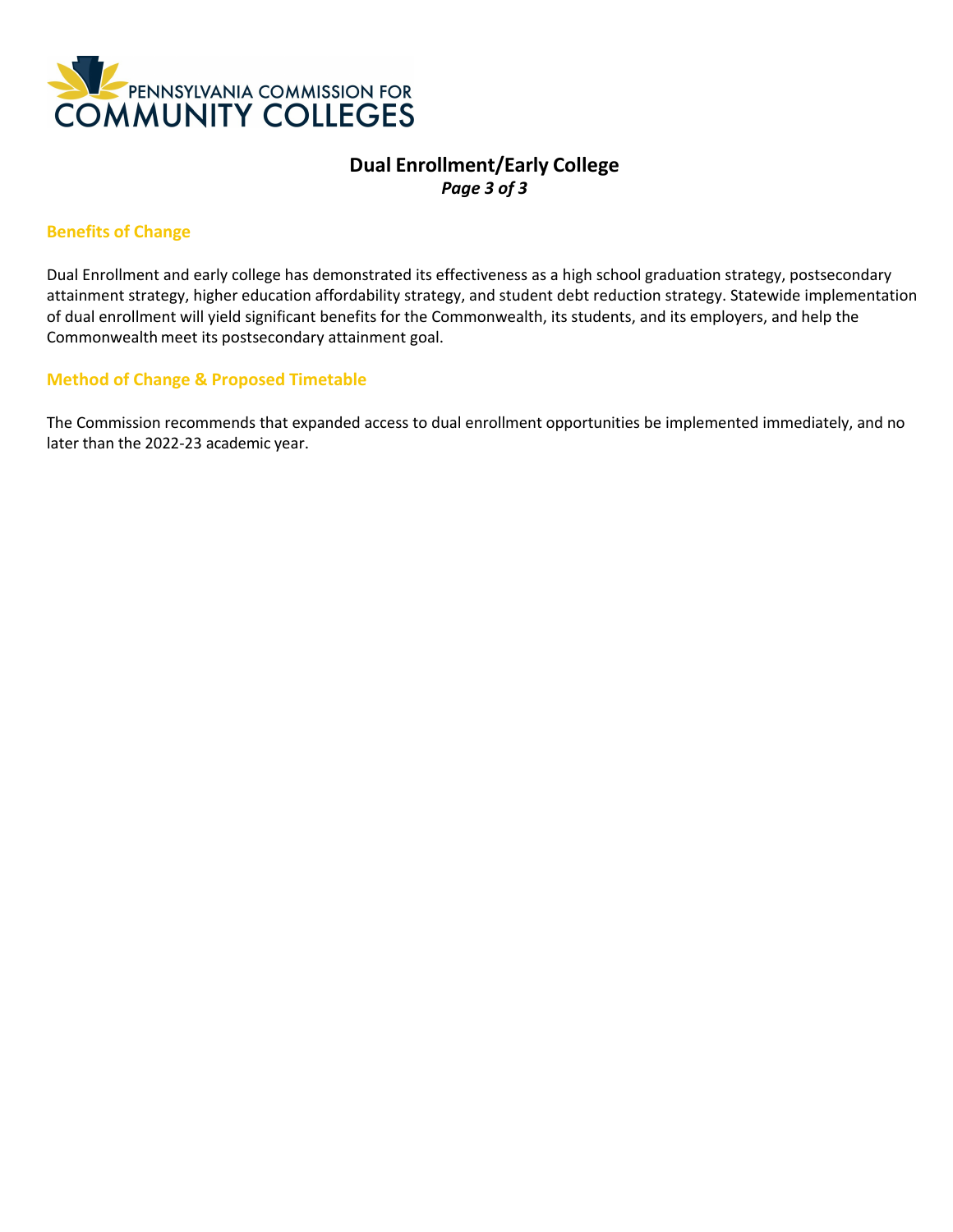

## **Dual Enrollment/Early College**  *Page 3 of 3*

#### **Benefits of Change**

Dual Enrollment and early college has demonstrated its effectiveness as a high school graduation strategy, postsecondary attainment strategy, higher education affordability strategy, and student debt reduction strategy. Statewide implementation of dual enrollment will yield significant benefits for the Commonwealth, its students, and its employers, and help the Commonwealth meet its postsecondary attainment goal.

#### **Method of Change & Proposed Timetable**

The Commission recommends that expanded access to dual enrollment opportunities be implemented immediately, and no later than the 2022-23 academic year.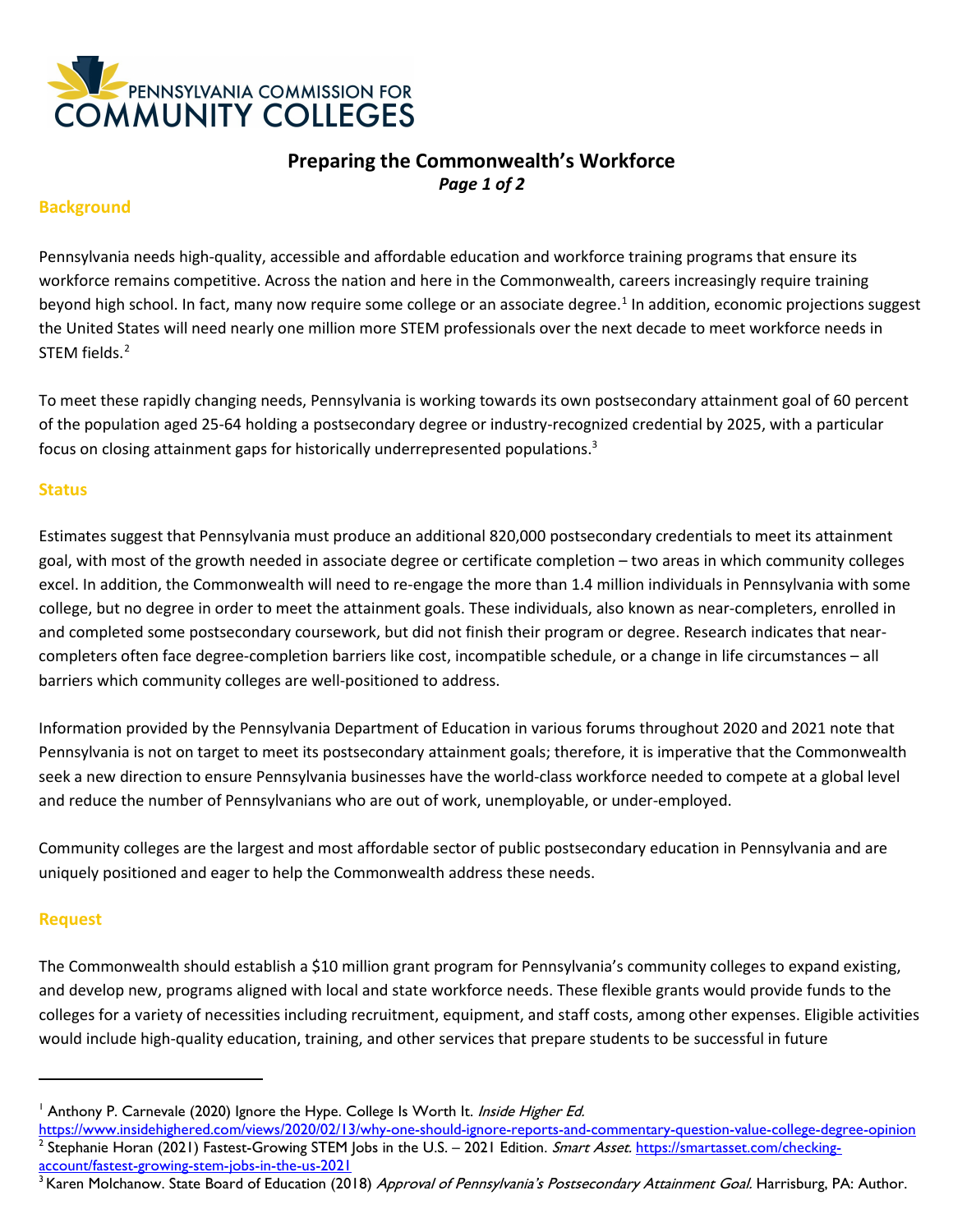

## **Preparing the Commonwealth's Workforce** *Page 1 of 2*

#### **Background**

Pennsylvania needs high-quality, accessible and affordable education and workforce training programs that ensure its workforce remains competitive. Across the nation and here in the Commonwealth, careers increasingly require training beyond high school. In fact, many now require some college or an associate degree.<sup>[1](#page-7-0)</sup> In addition, economic projections suggest the United States will need nearly one million more STEM professionals over the next decade to meet workforce needs in STEM fields.<sup>[2](#page-7-1)</sup>

To meet these rapidly changing needs, Pennsylvania is working towards its own postsecondary attainment goal of 60 percent of the population aged 25-64 holding a postsecondary degree or industry-recognized credential by 2025, with a particular focus on closing attainment gaps for historically underrepresented populations.<sup>3</sup>

#### **Status**

Estimates suggest that Pennsylvania must produce an additional 820,000 postsecondary credentials to meet its attainment goal, with most of the growth needed in associate degree or certificate completion – two areas in which community colleges excel. In addition, the Commonwealth will need to re-engage the more than 1.4 million individuals in Pennsylvania with some college, but no degree in order to meet the attainment goals. These individuals, also known as near-completers, enrolled in and completed some postsecondary coursework, but did not finish their program or degree. Research indicates that nearcompleters often face degree-completion barriers like [cost,](https://www.eab.com/daily-briefing/2017/06/29/why-wouldnt-students-enroll-in-free-college) incompatible schedule, or a change in life [circumstances](https://www.eab.com/daily-briefing/2017/06/06/half-of-adults-regret-a-college-choice) – all barriers which community colleges are well-positioned to address.

Information provided by the Pennsylvania Department of Education in various forums throughout 2020 and 2021 note that Pennsylvania is not on target to meet its postsecondary attainment goals; therefore, it is imperative that the Commonwealth seek a new direction to ensure Pennsylvania businesses have the world-class workforce needed to compete at a global level and reduce the number of Pennsylvanians who are out of work, unemployable, or under-employed.

Community colleges are the largest and most affordable sector of public postsecondary education in Pennsylvania and are uniquely positioned and eager to help the Commonwealth address these needs.

#### **Request**

The Commonwealth should establish a \$10 million grant program for Pennsylvania's community colleges to expand existing, and develop new, programs aligned with local and state workforce needs. These flexible grants would provide funds to the colleges for a variety of necessities including recruitment, equipment, and staff costs, among other expenses. Eligible activities would include high-quality education, training, and other services that prepare students to be successful in future

<span id="page-7-1"></span><span id="page-7-0"></span><sup>&</sup>lt;sup>1</sup> Anthony P. Carnevale (2020) Ignore the Hype. College Is Worth It. Inside Higher Ed.

<https://www.insidehighered.com/views/2020/02/13/why-one-should-ignore-reports-and-commentary-question-value-college-degree-opinion> <sup>2</sup> Stephanie Horan (2021) Fastest-Growing STEM Jobs in the U.S. – 2021 Edition. Smart Asset. [https://smartasset.com/checking](https://smartasset.com/checking-account/fastest-growing-stem-jobs-in-the-us-2021)[account/fastest-growing-stem-jobs-in-the-us-2021](https://smartasset.com/checking-account/fastest-growing-stem-jobs-in-the-us-2021)

<sup>&</sup>lt;sup>3</sup> Karen Molchanow. State Board of Education (2018) *Approval of Pennsylvania's Postsecondary Attainment Goal*. Harrisburg, PA: Author.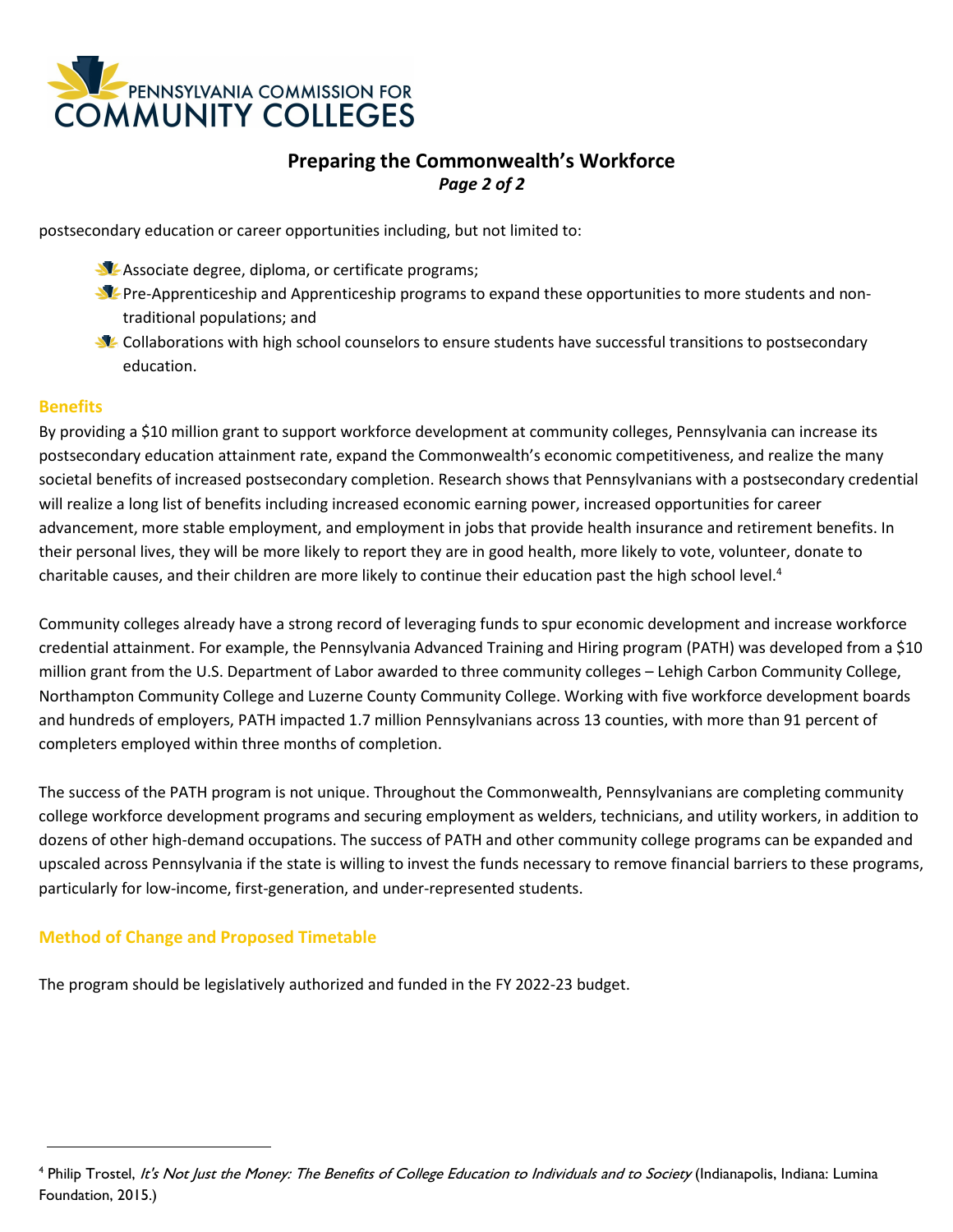

# **Preparing the Commonwealth's Workforce** *Page 2 of 2*

postsecondary education or career opportunities including, but not limited to:

- Associate degree, diploma, or certificate programs;
- **PPRE-Apprenticeship and Apprenticeship programs to expand these opportunities to more students and non**traditional populations; and
- **S** Collaborations with high school counselors to ensure students have successful transitions to postsecondary education.

#### **Benefits**

By providing a \$10 million grant to support workforce development at community colleges, Pennsylvania can increase its postsecondary education attainment rate, expand the Commonwealth's economic competitiveness, and realize the many societal benefits of increased postsecondary completion. Research shows that Pennsylvanians with a postsecondary credential will realize a long list of benefits including increased economic earning power, increased opportunities for career advancement, more stable employment, and employment in jobs that provide health insurance and retirement benefits. In their personal lives, they will be more likely to report they are in good health, more likely to vote, volunteer, donate to charitable causes, and their children are more likely to continue their education past the high school level.<sup>4</sup>

Community colleges already have a strong record of leveraging funds to spur economic development and increase workforce credential attainment. For example, the Pennsylvania Advanced Training and Hiring program (PATH) was developed from a \$10 million grant from the U.S. Department of Labor awarded to three community colleges – Lehigh Carbon Community College, Northampton Community College and Luzerne County Community College. Working with five workforce development boards and hundreds of employers, PATH impacted 1.7 million Pennsylvanians across 13 counties, with more than 91 percent of completers employed within three months of completion.

The success of the PATH program is not unique. Throughout the Commonwealth, Pennsylvanians are completing community college workforce development programs and securing employment as welders, technicians, and utility workers, in addition to dozens of other high-demand occupations. The success of PATH and other community college programs can be expanded and upscaled across Pennsylvania if the state is willing to invest the funds necessary to remove financial barriers to these programs, particularly for low-income, first-generation, and under-represented students.

### **Method of Change and Proposed Timetable**

The program should be legislatively authorized and funded in the FY 2022-23 budget.

<sup>&</sup>lt;sup>4</sup> Philip Trostel, It's Not Just the Money: The Benefits of College Education to Individuals and to Society (Indianapolis, Indiana: Lumina Foundation, 2015.)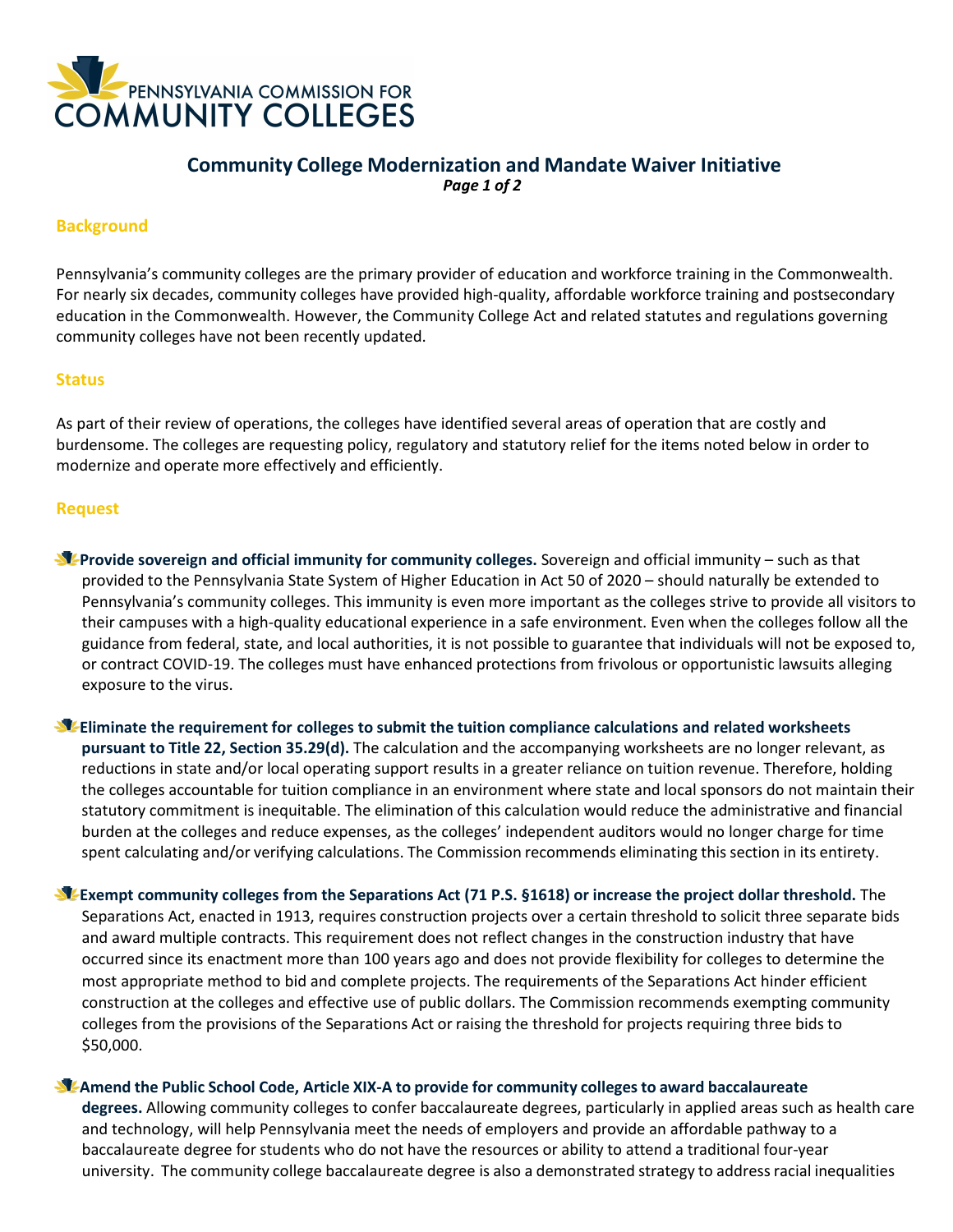

## **Community College Modernization and Mandate Waiver Initiative** *Page 1 of 2*

#### **Background**

Pennsylvania's community colleges are the primary provider of education and workforce training in the Commonwealth. For nearly six decades, community colleges have provided high-quality, affordable workforce training and postsecondary education in the Commonwealth. However, the Community College Act and related statutes and regulations governing community colleges have not been recently updated.

#### **Status**

As part of their review of operations, the colleges have identified several areas of operation that are costly and burdensome. The colleges are requesting policy, regulatory and statutory relief for the items noted below in order to modernize and operate more effectively and efficiently.

#### **Request**

**Provide sovereign and official immunity for community colleges.** Sovereign and official immunity – such as that provided to the Pennsylvania State System of Higher Education in Act 50 of 2020 – should naturally be extended to Pennsylvania's community colleges. This immunity is even more important as the colleges strive to provide all visitors to their campuses with a high-quality educational experience in a safe environment. Even when the colleges follow all the guidance from federal, state, and local authorities, it is not possible to guarantee that individuals will not be exposed to, or contract COVID-19. The colleges must have enhanced protections from frivolous or opportunistic lawsuits alleging exposure to the virus.

**Eliminate the requirement for colleges to submit the tuition compliance calculations and related worksheets pursuant to Title 22, Section 35.29(d).** The calculation and the accompanying worksheets are no longer relevant, as reductions in state and/or local operating support results in a greater reliance on tuition revenue. Therefore, holding the colleges accountable for tuition compliance in an environment where state and local sponsors do not maintain their statutory commitment is inequitable. The elimination of this calculation would reduce the administrative and financial burden at the colleges and reduce expenses, as the colleges' independent auditors would no longer charge for time spent calculating and/or verifying calculations. The Commission recommends eliminating this section in its entirety.

**Exempt community colleges from the Separations Act (71 P.S. §1618) or increase the project dollar threshold.** The Separations Act, enacted in 1913, requires construction projects over a certain threshold to solicit three separate bids and award multiple contracts. This requirement does not reflect changes in the construction industry that have occurred since its enactment more than 100 years ago and does not provide flexibility for colleges to determine the most appropriate method to bid and complete projects. The requirements of the Separations Act hinder efficient construction at the colleges and effective use of public dollars. The Commission recommends exempting community colleges from the provisions of the Separations Act or raising the threshold for projects requiring three bids to \$50,000.

#### **Amend the Public School Code, Article XIX-A to provide for community collegesto award baccalaureate**

**degrees.** Allowing community colleges to confer baccalaureate degrees, particularly in applied areas such as health care and technology, will help Pennsylvania meet the needs of employers and provide an affordable pathway to a baccalaureate degree for students who do not have the resources or ability to attend a traditional four-year university. The community college baccalaureate degree is also a demonstrated strategy to address racial inequalities